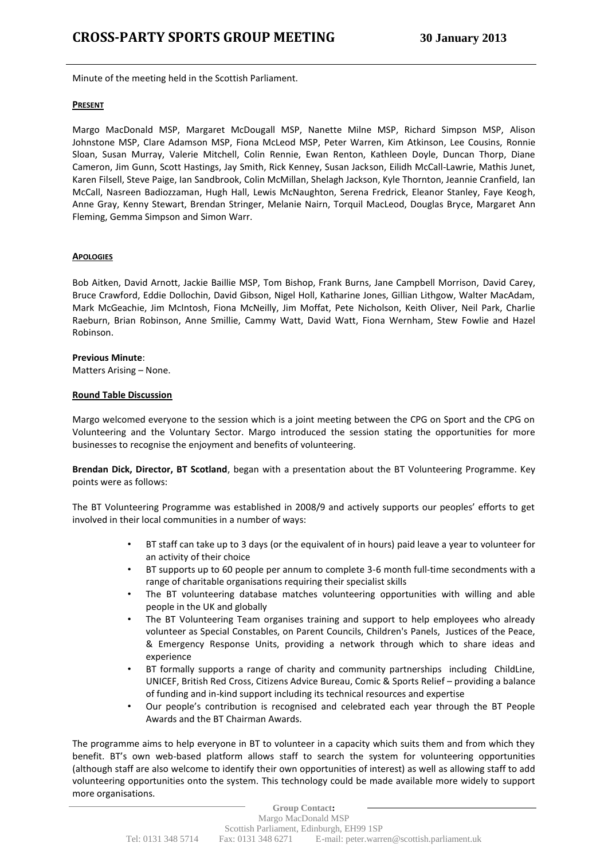Minute of the meeting held in the Scottish Parliament.

#### **PRESENT**

Margo MacDonald MSP, Margaret McDougall MSP, Nanette Milne MSP, Richard Simpson MSP, Alison Johnstone MSP, Clare Adamson MSP, Fiona McLeod MSP, Peter Warren, Kim Atkinson, Lee Cousins, Ronnie Sloan, Susan Murray, Valerie Mitchell, Colin Rennie, Ewan Renton, Kathleen Doyle, Duncan Thorp, Diane Cameron, Jim Gunn, Scott Hastings, Jay Smith, Rick Kenney, Susan Jackson, Eilidh McCall-Lawrie, Mathis Junet, Karen Filsell, Steve Paige, Ian Sandbrook, Colin McMillan, Shelagh Jackson, Kyle Thornton, Jeannie Cranfield, Ian McCall, Nasreen Badiozzaman, Hugh Hall, Lewis McNaughton, Serena Fredrick, Eleanor Stanley, Faye Keogh, Anne Gray, Kenny Stewart, Brendan Stringer, Melanie Nairn, Torquil MacLeod, Douglas Bryce, Margaret Ann Fleming, Gemma Simpson and Simon Warr.

## **APOLOGIES**

Bob Aitken, David Arnott, Jackie Baillie MSP, Tom Bishop, Frank Burns, Jane Campbell Morrison, David Carey, Bruce Crawford, Eddie Dollochin, David Gibson, Nigel Holl, Katharine Jones, Gillian Lithgow, Walter MacAdam, Mark McGeachie, Jim McIntosh, Fiona McNeilly, Jim Moffat, Pete Nicholson, Keith Oliver, Neil Park, Charlie Raeburn, Brian Robinson, Anne Smillie, Cammy Watt, David Watt, Fiona Wernham, Stew Fowlie and Hazel Robinson.

## **Previous Minute**:

Matters Arising – None.

#### **Round Table Discussion**

Margo welcomed everyone to the session which is a joint meeting between the CPG on Sport and the CPG on Volunteering and the Voluntary Sector. Margo introduced the session stating the opportunities for more businesses to recognise the enjoyment and benefits of volunteering.

**Brendan Dick, Director, BT Scotland**, began with a presentation about the BT Volunteering Programme. Key points were as follows:

The BT Volunteering Programme was established in 2008/9 and actively supports our peoples' efforts to get involved in their local communities in a number of ways:

- BT staff can take up to 3 days (or the equivalent of in hours) paid leave a year to volunteer for an activity of their choice
- BT supports up to 60 people per annum to complete 3-6 month full-time secondments with a range of charitable organisations requiring their specialist skills
- The BT volunteering database matches volunteering opportunities with willing and able people in the UK and globally
- The BT Volunteering Team organises training and support to help employees who already volunteer as Special Constables, on Parent Councils, Children's Panels, Justices of the Peace, & Emergency Response Units, providing a network through which to share ideas and experience
- BT formally supports a range of charity and community partnerships including ChildLine, UNICEF, British Red Cross, Citizens Advice Bureau, Comic & Sports Relief – providing a balance of funding and in-kind support including its technical resources and expertise
- Our people's contribution is recognised and celebrated each year through the BT People Awards and the BT Chairman Awards.

The programme aims to help everyone in BT to volunteer in a capacity which suits them and from which they benefit. BT's own web-based platform allows staff to search the system for volunteering opportunities (although staff are also welcome to identify their own opportunities of interest) as well as allowing staff to add volunteering opportunities onto the system. This technology could be made available more widely to support more organisations.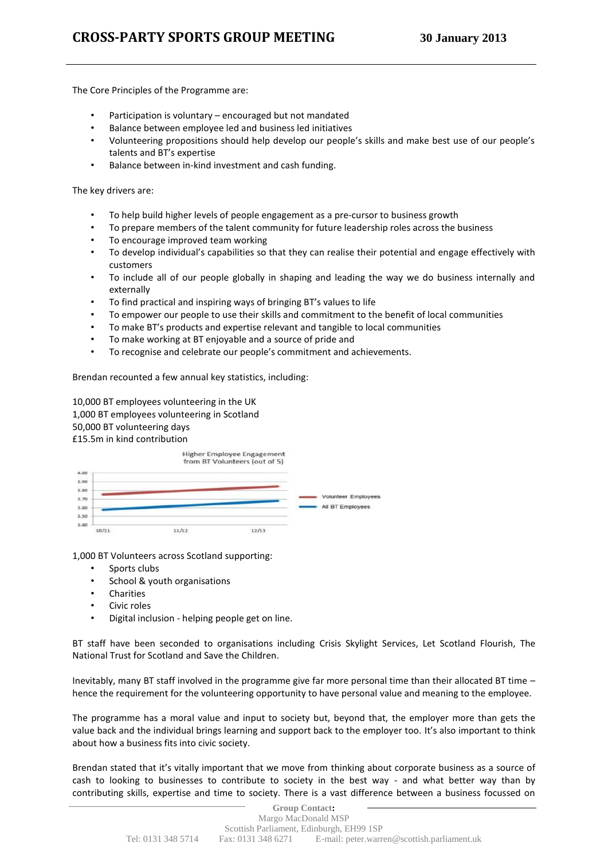The Core Principles of the Programme are:

- Participation is voluntary encouraged but not mandated
- Balance between employee led and business led initiatives
- Volunteering propositions should help develop our people's skills and make best use of our people's talents and BT's expertise
- Balance between in-kind investment and cash funding.

The key drivers are:

- To help build higher levels of people engagement as a pre-cursor to business growth
- To prepare members of the talent community for future leadership roles across the business
- To encourage improved team working
- To develop individual's capabilities so that they can realise their potential and engage effectively with customers
- To include all of our people globally in shaping and leading the way we do business internally and externally
- To find practical and inspiring ways of bringing BT's values to life
- To empower our people to use their skills and commitment to the benefit of local communities
- To make BT's products and expertise relevant and tangible to local communities
- To make working at BT enjoyable and a source of pride and
- To recognise and celebrate our people's commitment and achievements.

Brendan recounted a few annual key statistics, including:

10,000 BT employees volunteering in the UK 1,000 BT employees volunteering in Scotland 50,000 BT volunteering days £15.5m in kind contribution

|                                              |       |       | Higher Employee Engagement<br>from BT Volunteers (out of 5) |                                         |
|----------------------------------------------|-------|-------|-------------------------------------------------------------|-----------------------------------------|
| 4.00<br>3.90<br>3.80<br>3.70<br>3.60<br>3.50 |       |       |                                                             | Volunteer Employees<br>All BT Employees |
| 3,40                                         | 10/11 | 11/12 | 12/13                                                       |                                         |

1,000 BT Volunteers across Scotland supporting:

- Sports clubs
- School & youth organisations
- **Charities**
- Civic roles
- Digital inclusion helping people get on line.

BT staff have been seconded to organisations including Crisis Skylight Services, Let Scotland Flourish, The National Trust for Scotland and Save the Children.

Inevitably, many BT staff involved in the programme give far more personal time than their allocated BT time – hence the requirement for the volunteering opportunity to have personal value and meaning to the employee.

The programme has a moral value and input to society but, beyond that, the employer more than gets the value back and the individual brings learning and support back to the employer too. It's also important to think about how a business fits into civic society.

Brendan stated that it's vitally important that we move from thinking about corporate business as a source of cash to looking to businesses to contribute to society in the best way - and what better way than by contributing skills, expertise and time to society. There is a vast difference between a business focussed on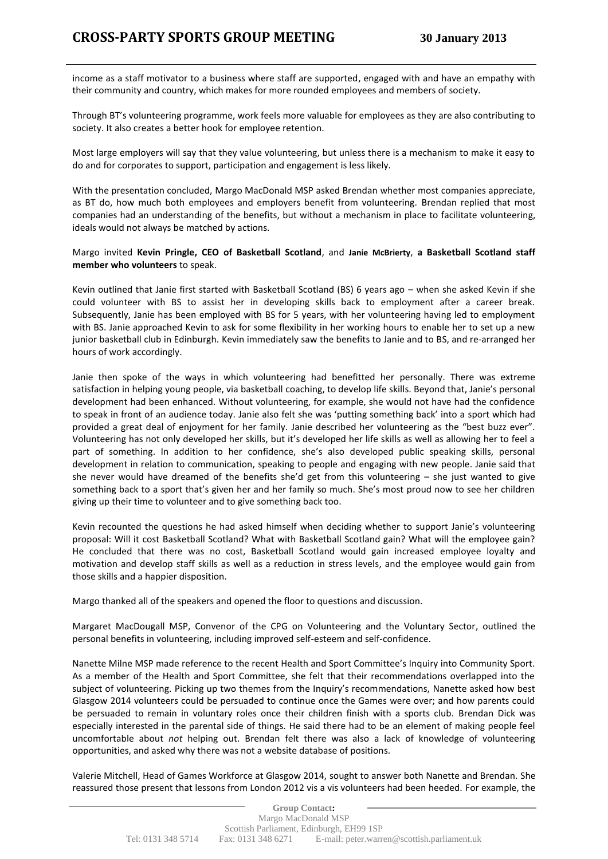income as a staff motivator to a business where staff are supported, engaged with and have an empathy with their community and country, which makes for more rounded employees and members of society.

Through BT's volunteering programme, work feels more valuable for employees as they are also contributing to society. It also creates a better hook for employee retention.

Most large employers will say that they value volunteering, but unless there is a mechanism to make it easy to do and for corporates to support, participation and engagement is less likely.

With the presentation concluded, Margo MacDonald MSP asked Brendan whether most companies appreciate, as BT do, how much both employees and employers benefit from volunteering. Brendan replied that most companies had an understanding of the benefits, but without a mechanism in place to facilitate volunteering, ideals would not always be matched by actions.

# Margo invited **Kevin Pringle, CEO of Basketball Scotland**, and **Janie [McBrierty](mailto:janie.mcbrierty@basketball-scotland.com)**, **a Basketball Scotland staff member who volunteers** to speak.

Kevin outlined that Janie first started with Basketball Scotland (BS) 6 years ago – when she asked Kevin if she could volunteer with BS to assist her in developing skills back to employment after a career break. Subsequently, Janie has been employed with BS for 5 years, with her volunteering having led to employment with BS. Janie approached Kevin to ask for some flexibility in her working hours to enable her to set up a new junior basketball club in Edinburgh. Kevin immediately saw the benefits to Janie and to BS, and re-arranged her hours of work accordingly.

Janie then spoke of the ways in which volunteering had benefitted her personally. There was extreme satisfaction in helping young people, via basketball coaching, to develop life skills. Beyond that, Janie's personal development had been enhanced. Without volunteering, for example, she would not have had the confidence to speak in front of an audience today. Janie also felt she was 'putting something back' into a sport which had provided a great deal of enjoyment for her family. Janie described her volunteering as the "best buzz ever". Volunteering has not only developed her skills, but it's developed her life skills as well as allowing her to feel a part of something. In addition to her confidence, she's also developed public speaking skills, personal development in relation to communication, speaking to people and engaging with new people. Janie said that she never would have dreamed of the benefits she'd get from this volunteering – she just wanted to give something back to a sport that's given her and her family so much. She's most proud now to see her children giving up their time to volunteer and to give something back too.

Kevin recounted the questions he had asked himself when deciding whether to support Janie's volunteering proposal: Will it cost Basketball Scotland? What with Basketball Scotland gain? What will the employee gain? He concluded that there was no cost, Basketball Scotland would gain increased employee loyalty and motivation and develop staff skills as well as a reduction in stress levels, and the employee would gain from those skills and a happier disposition.

Margo thanked all of the speakers and opened the floor to questions and discussion.

Margaret MacDougall MSP, Convenor of the CPG on Volunteering and the Voluntary Sector, outlined the personal benefits in volunteering, including improved self-esteem and self-confidence.

Nanette Milne MSP made reference to the recent Health and Sport Committee's Inquiry into Community Sport. As a member of the Health and Sport Committee, she felt that their recommendations overlapped into the subject of volunteering. Picking up two themes from the Inquiry's recommendations, Nanette asked how best Glasgow 2014 volunteers could be persuaded to continue once the Games were over; and how parents could be persuaded to remain in voluntary roles once their children finish with a sports club. Brendan Dick was especially interested in the parental side of things. He said there had to be an element of making people feel uncomfortable about *not* helping out. Brendan felt there was also a lack of knowledge of volunteering opportunities, and asked why there was not a website database of positions.

Valerie Mitchell, Head of Games Workforce at Glasgow 2014, sought to answer both Nanette and Brendan. She reassured those present that lessons from London 2012 vis a vis volunteers had been heeded. For example, the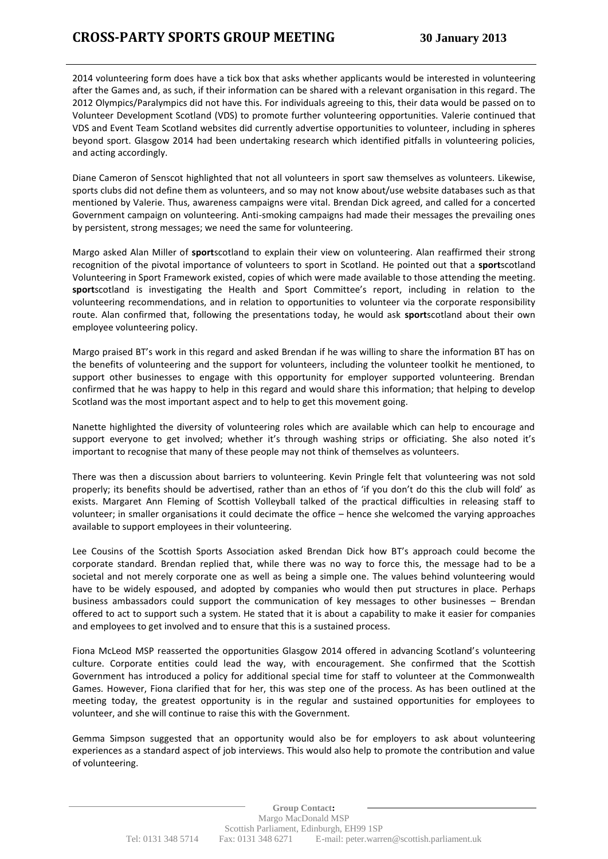2014 volunteering form does have a tick box that asks whether applicants would be interested in volunteering after the Games and, as such, if their information can be shared with a relevant organisation in this regard. The 2012 Olympics/Paralympics did not have this. For individuals agreeing to this, their data would be passed on to Volunteer Development Scotland (VDS) to promote further volunteering opportunities. Valerie continued that VDS and Event Team Scotland websites did currently advertise opportunities to volunteer, including in spheres beyond sport. Glasgow 2014 had been undertaking research which identified pitfalls in volunteering policies, and acting accordingly.

Diane Cameron of Senscot highlighted that not all volunteers in sport saw themselves as volunteers. Likewise, sports clubs did not define them as volunteers, and so may not know about/use website databases such as that mentioned by Valerie. Thus, awareness campaigns were vital. Brendan Dick agreed, and called for a concerted Government campaign on volunteering. Anti-smoking campaigns had made their messages the prevailing ones by persistent, strong messages; we need the same for volunteering.

Margo asked Alan Miller of **sport**scotland to explain their view on volunteering. Alan reaffirmed their strong recognition of the pivotal importance of volunteers to sport in Scotland. He pointed out that a **sport**scotland Volunteering in Sport Framework existed, copies of which were made available to those attending the meeting. **sport**scotland is investigating the Health and Sport Committee's report, including in relation to the volunteering recommendations, and in relation to opportunities to volunteer via the corporate responsibility route. Alan confirmed that, following the presentations today, he would ask **sport**scotland about their own employee volunteering policy.

Margo praised BT's work in this regard and asked Brendan if he was willing to share the information BT has on the benefits of volunteering and the support for volunteers, including the volunteer toolkit he mentioned, to support other businesses to engage with this opportunity for employer supported volunteering. Brendan confirmed that he was happy to help in this regard and would share this information; that helping to develop Scotland was the most important aspect and to help to get this movement going.

Nanette highlighted the diversity of volunteering roles which are available which can help to encourage and support everyone to get involved; whether it's through washing strips or officiating. She also noted it's important to recognise that many of these people may not think of themselves as volunteers.

There was then a discussion about barriers to volunteering. Kevin Pringle felt that volunteering was not sold properly; its benefits should be advertised, rather than an ethos of 'if you don't do this the club will fold' as exists. Margaret Ann Fleming of Scottish Volleyball talked of the practical difficulties in releasing staff to volunteer; in smaller organisations it could decimate the office – hence she welcomed the varying approaches available to support employees in their volunteering.

Lee Cousins of the Scottish Sports Association asked Brendan Dick how BT's approach could become the corporate standard. Brendan replied that, while there was no way to force this, the message had to be a societal and not merely corporate one as well as being a simple one. The values behind volunteering would have to be widely espoused, and adopted by companies who would then put structures in place. Perhaps business ambassadors could support the communication of key messages to other businesses – Brendan offered to act to support such a system. He stated that it is about a capability to make it easier for companies and employees to get involved and to ensure that this is a sustained process.

Fiona McLeod MSP reasserted the opportunities Glasgow 2014 offered in advancing Scotland's volunteering culture. Corporate entities could lead the way, with encouragement. She confirmed that the Scottish Government has introduced a policy for additional special time for staff to volunteer at the Commonwealth Games. However, Fiona clarified that for her, this was step one of the process. As has been outlined at the meeting today, the greatest opportunity is in the regular and sustained opportunities for employees to volunteer, and she will continue to raise this with the Government.

Gemma Simpson suggested that an opportunity would also be for employers to ask about volunteering experiences as a standard aspect of job interviews. This would also help to promote the contribution and value of volunteering.